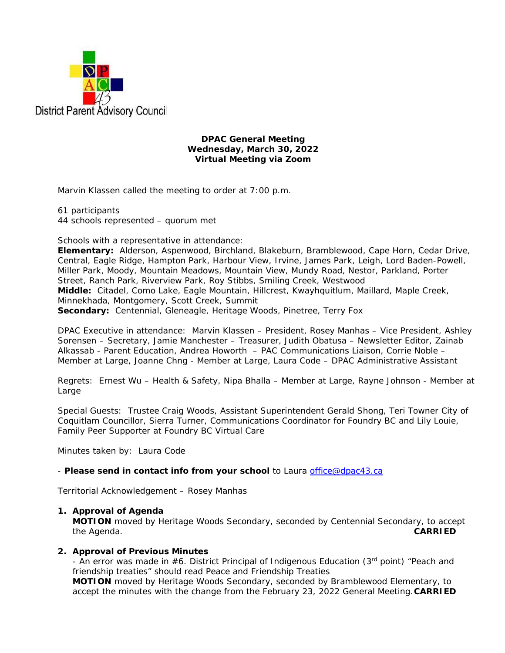

### **DPAC General Meeting Wednesday, March 30, 2022 Virtual Meeting via Zoom**

Marvin Klassen called the meeting to order at 7:00 p.m.

61 participants 44 schools represented – quorum met

Schools with a representative in attendance:

**Elementary:** Alderson, Aspenwood, Birchland, Blakeburn, Bramblewood, Cape Horn, Cedar Drive, Central, Eagle Ridge, Hampton Park, Harbour View, Irvine, James Park, Leigh, Lord Baden-Powell, Miller Park, Moody, Mountain Meadows, Mountain View, Mundy Road, Nestor, Parkland, Porter Street, Ranch Park, Riverview Park, Roy Stibbs, Smiling Creek, Westwood **Middle:** Citadel, Como Lake, Eagle Mountain, Hillcrest, Kwayhquitlum, Maillard, Maple Creek, Minnekhada, Montgomery, Scott Creek, Summit **Secondary:** Centennial, Gleneagle, Heritage Woods, Pinetree, Terry Fox

DPAC Executive in attendance: Marvin Klassen – President, Rosey Manhas – Vice President, Ashley Sorensen – Secretary, Jamie Manchester – Treasurer, Judith Obatusa – Newsletter Editor, Zainab Alkassab - Parent Education, Andrea Howorth – PAC Communications Liaison, Corrie Noble – Member at Large, Joanne Chng - Member at Large, Laura Code – DPAC Administrative Assistant

Regrets: Ernest Wu – Health & Safety, Nipa Bhalla – Member at Large, Rayne Johnson - Member at Large

Special Guests: Trustee Craig Woods, Assistant Superintendent Gerald Shong, Teri Towner City of Coquitlam Councillor, Sierra Turner, Communications Coordinator for Foundry BC and Lily Louie, Family Peer Supporter at Foundry BC Virtual Care

Minutes taken by: Laura Code

- *Please send in contact info from your school* to Laura office@dpac43.ca

Territorial Acknowledgement – Rosey Manhas

### **1. Approval of Agenda**

**MOTION** moved by *Heritage Woods Secondary*, seconded by *Centennial Secondary*, to accept the Agenda. **CARRIED** 

### **2. Approval of Previous Minutes**

- An error was made in  $#6$ . District Principal of Indigenous Education (3<sup>rd</sup> point) "Peach and friendship treaties" should read Peace and Friendship Treaties

**MOTION** moved by *Heritage Woods Secondary*, seconded by *Bramblewood Elementary*, to accept the minutes with the change from the February 23, 2022 General Meeting.**CARRIED**